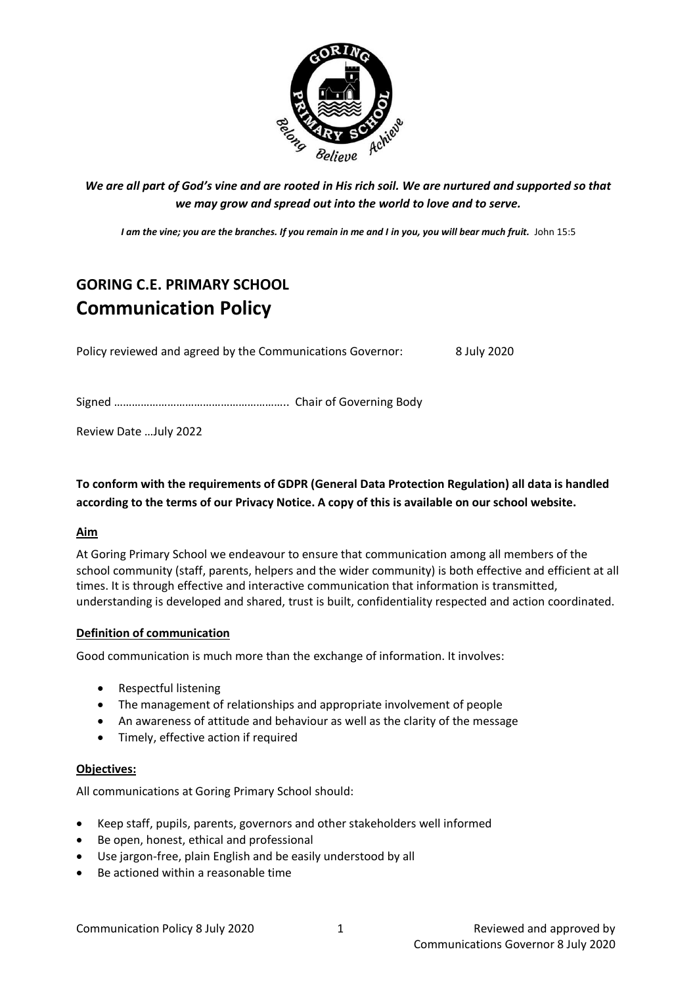

*We are all part of God's vine and are rooted in His rich soil. We are nurtured and supported so that we may grow and spread out into the world to love and to serve.*

*I am the vine; you are the branches. If you remain in me and I in you, you will bear much fruit.* John 15:5

# **GORING C.E. PRIMARY SCHOOL Communication Policy**

Policy reviewed and agreed by the Communications Governor: 8 July 2020

Signed ………………………………………………….. Chair of Governing Body

Review Date …July 2022

**To conform with the requirements of GDPR (General Data Protection Regulation) all data is handled according to the terms of our Privacy Notice. A copy of this is available on our school website.** 

# **Aim**

At Goring Primary School we endeavour to ensure that communication among all members of the school community (staff, parents, helpers and the wider community) is both effective and efficient at all times. It is through effective and interactive communication that information is transmitted, understanding is developed and shared, trust is built, confidentiality respected and action coordinated.

# **Definition of communication**

Good communication is much more than the exchange of information. It involves:

- Respectful listening
- The management of relationships and appropriate involvement of people
- An awareness of attitude and behaviour as well as the clarity of the message
- Timely, effective action if required

# **Objectives:**

All communications at Goring Primary School should:

- Keep staff, pupils, parents, governors and other stakeholders well informed
- Be open, honest, ethical and professional
- Use jargon-free, plain English and be easily understood by all
- Be actioned within a reasonable time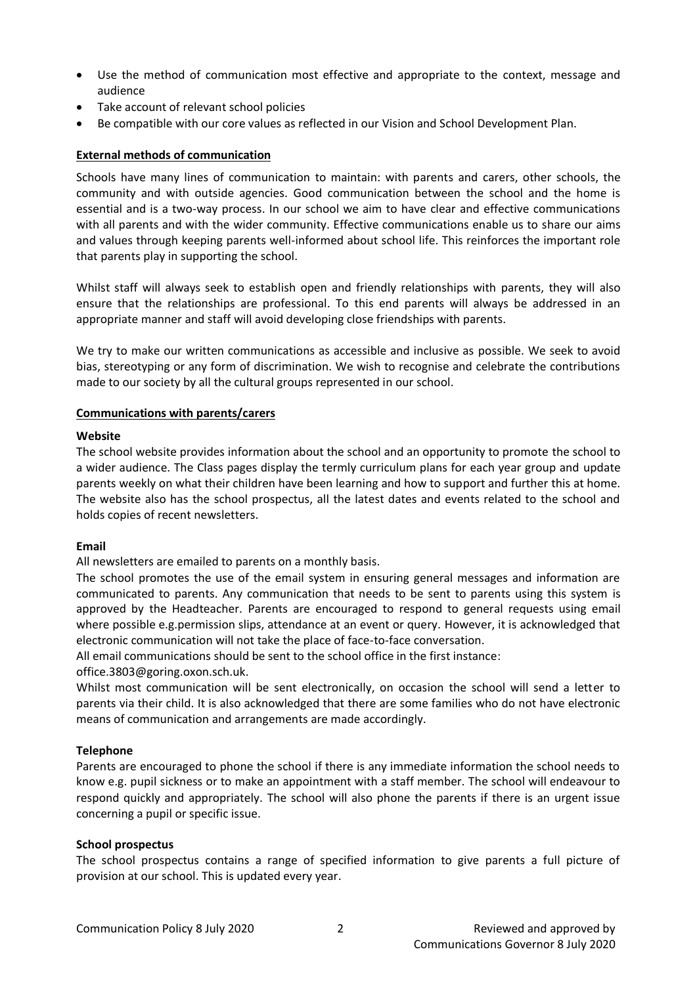- Use the method of communication most effective and appropriate to the context, message and audience
- Take account of relevant school policies
- Be compatible with our core values as reflected in our Vision and School Development Plan.

# **External methods of communication**

Schools have many lines of communication to maintain: with parents and carers, other schools, the community and with outside agencies. Good communication between the school and the home is essential and is a two-way process. In our school we aim to have clear and effective communications with all parents and with the wider community. Effective communications enable us to share our aims and values through keeping parents well-informed about school life. This reinforces the important role that parents play in supporting the school.

Whilst staff will always seek to establish open and friendly relationships with parents, they will also ensure that the relationships are professional. To this end parents will always be addressed in an appropriate manner and staff will avoid developing close friendships with parents.

We try to make our written communications as accessible and inclusive as possible. We seek to avoid bias, stereotyping or any form of discrimination. We wish to recognise and celebrate the contributions made to our society by all the cultural groups represented in our school.

#### **Communications with parents/carers**

#### **Website**

The school website provides information about the school and an opportunity to promote the school to a wider audience. The Class pages display the termly curriculum plans for each year group and update parents weekly on what their children have been learning and how to support and further this at home. The website also has the school prospectus, all the latest dates and events related to the school and holds copies of recent newsletters.

# **Email**

All newsletters are emailed to parents on a monthly basis.

The school promotes the use of the email system in ensuring general messages and information are communicated to parents. Any communication that needs to be sent to parents using this system is approved by the Headteacher. Parents are encouraged to respond to general requests using email where possible e.g.permission slips, attendance at an event or query. However, it is acknowledged that electronic communication will not take the place of face-to-face conversation.

All email communications should be sent to the school office in the first instance:

office.3803@goring.oxon.sch.uk.

Whilst most communication will be sent electronically, on occasion the school will send a letter to parents via their child. It is also acknowledged that there are some families who do not have electronic means of communication and arrangements are made accordingly.

# **Telephone**

Parents are encouraged to phone the school if there is any immediate information the school needs to know e.g. pupil sickness or to make an appointment with a staff member. The school will endeavour to respond quickly and appropriately. The school will also phone the parents if there is an urgent issue concerning a pupil or specific issue.

# **School prospectus**

The school prospectus contains a range of specified information to give parents a full picture of provision at our school. This is updated every year.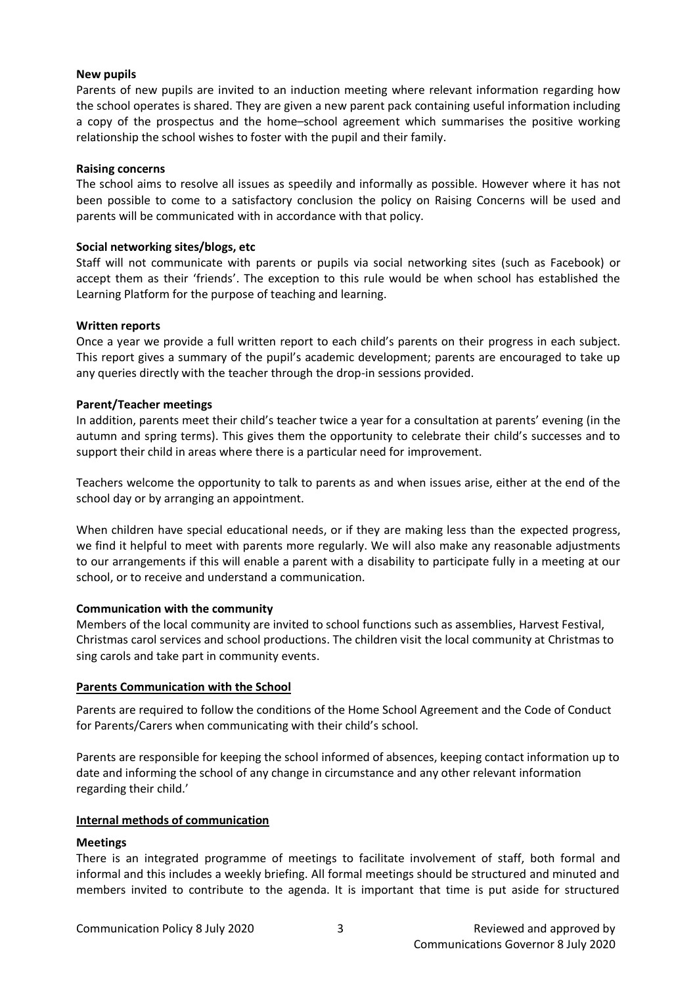# **New pupils**

Parents of new pupils are invited to an induction meeting where relevant information regarding how the school operates is shared. They are given a new parent pack containing useful information including a copy of the prospectus and the home–school agreement which summarises the positive working relationship the school wishes to foster with the pupil and their family.

### **Raising concerns**

The school aims to resolve all issues as speedily and informally as possible. However where it has not been possible to come to a satisfactory conclusion the policy on Raising Concerns will be used and parents will be communicated with in accordance with that policy.

#### **Social networking sites/blogs, etc**

Staff will not communicate with parents or pupils via social networking sites (such as Facebook) or accept them as their 'friends'. The exception to this rule would be when school has established the Learning Platform for the purpose of teaching and learning.

#### **Written reports**

Once a year we provide a full written report to each child's parents on their progress in each subject. This report gives a summary of the pupil's academic development; parents are encouraged to take up any queries directly with the teacher through the drop-in sessions provided.

#### **Parent/Teacher meetings**

In addition, parents meet their child's teacher twice a year for a consultation at parents' evening (in the autumn and spring terms). This gives them the opportunity to celebrate their child's successes and to support their child in areas where there is a particular need for improvement.

Teachers welcome the opportunity to talk to parents as and when issues arise, either at the end of the school day or by arranging an appointment.

When children have special educational needs, or if they are making less than the expected progress, we find it helpful to meet with parents more regularly. We will also make any reasonable adjustments to our arrangements if this will enable a parent with a disability to participate fully in a meeting at our school, or to receive and understand a communication.

# **Communication with the community**

Members of the local community are invited to school functions such as assemblies, Harvest Festival, Christmas carol services and school productions. The children visit the local community at Christmas to sing carols and take part in community events.

# **Parents Communication with the School**

Parents are required to follow the conditions of the Home School Agreement and the Code of Conduct for Parents/Carers when communicating with their child's school.

Parents are responsible for keeping the school informed of absences, keeping contact information up to date and informing the school of any change in circumstance and any other relevant information regarding their child.'

# **Internal methods of communication**

#### **Meetings**

There is an integrated programme of meetings to facilitate involvement of staff, both formal and informal and this includes a weekly briefing. All formal meetings should be structured and minuted and members invited to contribute to the agenda. It is important that time is put aside for structured